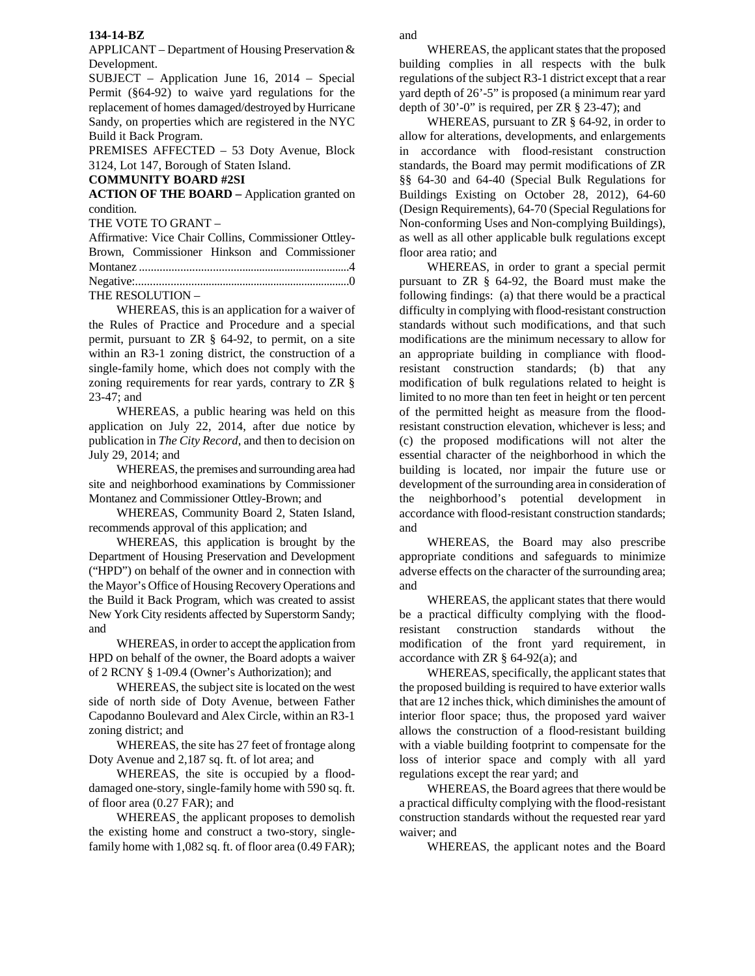## **134-14-BZ**

APPLICANT – Department of Housing Preservation & Development.

SUBJECT – Application June 16, 2014 – Special Permit (§64-92) to waive yard regulations for the replacement of homes damaged/destroyed by Hurricane Sandy, on properties which are registered in the NYC Build it Back Program.

PREMISES AFFECTED – 53 Doty Avenue, Block 3124, Lot 147, Borough of Staten Island.

## **COMMUNITY BOARD #2SI**

**ACTION OF THE BOARD –** Application granted on condition.

THE VOTE TO GRANT –

| Affirmative: Vice Chair Collins, Commissioner Ottley- |  |  |
|-------------------------------------------------------|--|--|
| Brown, Commissioner Hinkson and Commissioner          |  |  |
|                                                       |  |  |
|                                                       |  |  |
| THE RESOLUTION -                                      |  |  |

 WHEREAS, this is an application for a waiver of the Rules of Practice and Procedure and a special permit, pursuant to ZR § 64-92, to permit, on a site within an R3-1 zoning district, the construction of a single-family home, which does not comply with the zoning requirements for rear yards, contrary to ZR § 23-47; and

WHEREAS, a public hearing was held on this application on July 22, 2014, after due notice by publication in *The City Record*, and then to decision on July 29, 2014; and

WHEREAS, the premises and surrounding area had site and neighborhood examinations by Commissioner Montanez and Commissioner Ottley-Brown; and

WHEREAS, Community Board 2, Staten Island, recommends approval of this application; and

WHEREAS, this application is brought by the Department of Housing Preservation and Development ("HPD") on behalf of the owner and in connection with the Mayor's Office of Housing Recovery Operations and the Build it Back Program, which was created to assist New York City residents affected by Superstorm Sandy; and

WHEREAS, in order to accept the application from HPD on behalf of the owner, the Board adopts a waiver of 2 RCNY § 1-09.4 (Owner's Authorization); and

WHEREAS, the subject site is located on the west side of north side of Doty Avenue, between Father Capodanno Boulevard and Alex Circle, within an R3-1 zoning district; and

WHEREAS, the site has 27 feet of frontage along Doty Avenue and 2,187 sq. ft. of lot area; and

WHEREAS, the site is occupied by a flooddamaged one-story, single-family home with 590 sq. ft. of floor area (0.27 FAR); and

 WHEREAS¸ the applicant proposes to demolish the existing home and construct a two-story, singlefamily home with 1,082 sq. ft. of floor area (0.49 FAR);

 WHEREAS, the applicant states that the proposed building complies in all respects with the bulk regulations of the subject R3-1 district except that a rear yard depth of 26'-5" is proposed (a minimum rear yard depth of 30'-0" is required, per ZR § 23-47); and

 WHEREAS, pursuant to ZR § 64-92, in order to allow for alterations, developments, and enlargements in accordance with flood-resistant construction standards, the Board may permit modifications of ZR §§ 64-30 and 64-40 (Special Bulk Regulations for Buildings Existing on October 28, 2012), 64-60 (Design Requirements), 64-70 (Special Regulations for Non-conforming Uses and Non-complying Buildings), as well as all other applicable bulk regulations except floor area ratio; and

 WHEREAS, in order to grant a special permit pursuant to ZR § 64-92, the Board must make the following findings: (a) that there would be a practical difficulty in complying with flood-resistant construction standards without such modifications, and that such modifications are the minimum necessary to allow for an appropriate building in compliance with floodresistant construction standards; (b) that any modification of bulk regulations related to height is limited to no more than ten feet in height or ten percent of the permitted height as measure from the floodresistant construction elevation, whichever is less; and (c) the proposed modifications will not alter the essential character of the neighborhood in which the building is located, nor impair the future use or development of the surrounding area in consideration of the neighborhood's potential development in accordance with flood-resistant construction standards; and

 WHEREAS, the Board may also prescribe appropriate conditions and safeguards to minimize adverse effects on the character of the surrounding area; and

 WHEREAS, the applicant states that there would be a practical difficulty complying with the floodresistant construction standards without the modification of the front yard requirement, in accordance with ZR § 64-92(a); and

 WHEREAS, specifically, the applicant states that the proposed building is required to have exterior walls that are 12 inches thick, which diminishes the amount of interior floor space; thus, the proposed yard waiver allows the construction of a flood-resistant building with a viable building footprint to compensate for the loss of interior space and comply with all yard regulations except the rear yard; and

 WHEREAS, the Board agrees that there would be a practical difficulty complying with the flood-resistant construction standards without the requested rear yard waiver; and

WHEREAS, the applicant notes and the Board

and